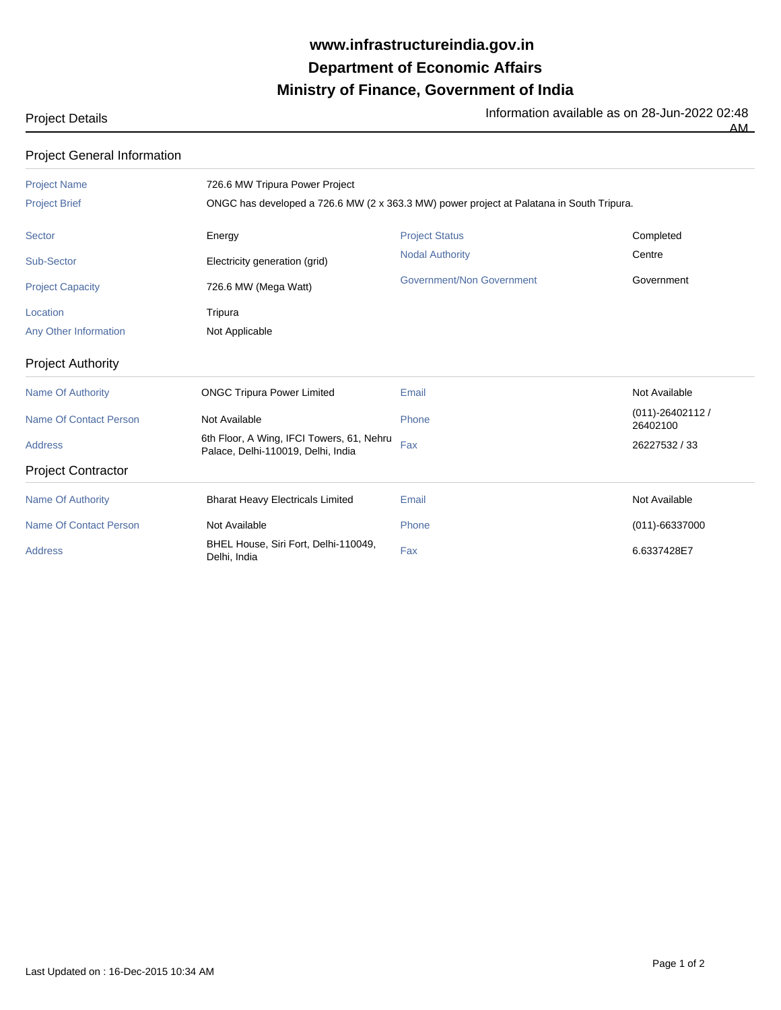## **Ministry of Finance, Government of India Department of Economic Affairs www.infrastructureindia.gov.in**

## Project Details **Information available as on 28-Jun-2022 02:48**

 $\overline{AM}$ 

| <b>Project General Information</b> |                                                                                                                            |                                  |                                |  |
|------------------------------------|----------------------------------------------------------------------------------------------------------------------------|----------------------------------|--------------------------------|--|
| <b>Project Name</b>                | 726.6 MW Tripura Power Project<br>ONGC has developed a 726.6 MW (2 x 363.3 MW) power project at Palatana in South Tripura. |                                  |                                |  |
| <b>Project Brief</b>               |                                                                                                                            |                                  |                                |  |
| <b>Sector</b>                      | Energy                                                                                                                     | <b>Project Status</b>            | Completed                      |  |
| <b>Sub-Sector</b>                  | Electricity generation (grid)                                                                                              | <b>Nodal Authority</b>           | Centre                         |  |
| <b>Project Capacity</b>            | 726.6 MW (Mega Watt)                                                                                                       | <b>Government/Non Government</b> | Government                     |  |
| Location                           | Tripura                                                                                                                    |                                  |                                |  |
| Any Other Information              | Not Applicable                                                                                                             |                                  |                                |  |
| <b>Project Authority</b>           |                                                                                                                            |                                  |                                |  |
| <b>Name Of Authority</b>           | <b>ONGC Tripura Power Limited</b>                                                                                          | Email                            | Not Available                  |  |
| <b>Name Of Contact Person</b>      | Not Available                                                                                                              | Phone                            | $(011) - 26402112$<br>26402100 |  |
| <b>Address</b>                     | 6th Floor, A Wing, IFCI Towers, 61, Nehru<br>Palace, Delhi-110019, Delhi, India                                            | Fax                              | 26227532 / 33                  |  |
| <b>Project Contractor</b>          |                                                                                                                            |                                  |                                |  |
| <b>Name Of Authority</b>           | <b>Bharat Heavy Electricals Limited</b>                                                                                    | Email                            | Not Available                  |  |
| <b>Name Of Contact Person</b>      | Not Available                                                                                                              | Phone                            | $(011)-66337000$               |  |
| <b>Address</b>                     | BHEL House, Siri Fort, Delhi-110049,<br>Delhi, India                                                                       | Fax                              | 6.6337428E7                    |  |

Last Updated on : 16-Dec-2015 10:34 AM